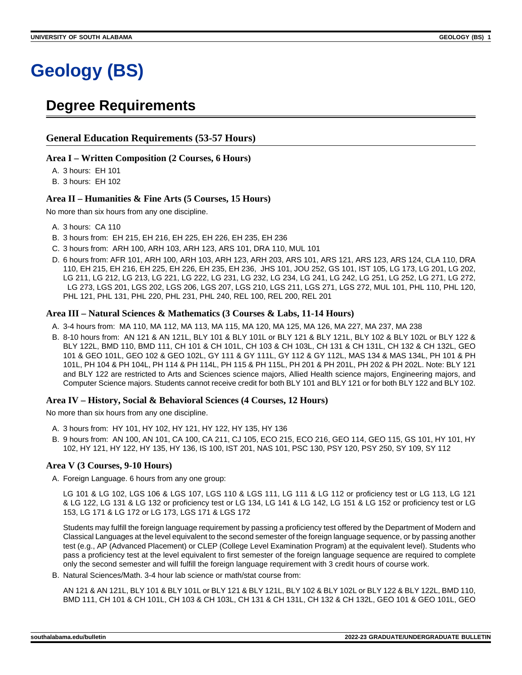# **Degree Requirements**

## **General Education Requirements (53-57 Hours)**

#### **Area I – Written Composition (2 Courses, 6 Hours)**

A. 3 hours: EH 101

B. 3 hours: EH 102

#### **Area II – Humanities & Fine Arts (5 Courses, 15 Hours)**

No more than six hours from any one discipline.

- A. 3 hours: CA 110
- B. 3 hours from: EH 215, EH 216, EH 225, EH 226, EH 235, EH 236
- C. 3 hours from: ARH 100, ARH 103, ARH 123, ARS 101, DRA 110, MUL 101
- D. 6 hours from: AFR 101, ARH 100, ARH 103, ARH 123, ARH 203, ARS 101, ARS 121, ARS 123, ARS 124, CLA 110, DRA 110, EH 215, EH 216, EH 225, EH 226, EH 235, EH 236, JHS 101, JOU 252, GS 101, IST 105, LG 173, LG 201, LG 202, LG 211, LG 212, LG 213, LG 221, LG 222, LG 231, LG 232, LG 234, LG 241, LG 242, LG 251, LG 252, LG 271, LG 272, LG 273, LGS 201, LGS 202, LGS 206, LGS 207, LGS 210, LGS 211, LGS 271, LGS 272, MUL 101, PHL 110, PHL 120, PHL 121, PHL 131, PHL 220, PHL 231, PHL 240, REL 100, REL 200, REL 201

#### **Area III – Natural Sciences & Mathematics (3 Courses & Labs, 11-14 Hours)**

- A. 3-4 hours from: MA 110, MA 112, MA 113, MA 115, MA 120, MA 125, MA 126, MA 227, MA 237, MA 238
- B. 8-10 hours from: AN 121 & AN 121L, BLY 101 & BLY 101L or BLY 121 & BLY 121L, BLY 102 & BLY 102L or BLY 122 & BLY 122L, BMD 110, BMD 111, CH 101 & CH 101L, CH 103 & CH 103L, CH 131 & CH 131L, CH 132 & CH 132L, GEO 101 & GEO 101L, GEO 102 & GEO 102L, GY 111 & GY 111L, GY 112 & GY 112L, MAS 134 & MAS 134L, PH 101 & PH 101L, PH 104 & PH 104L, PH 114 & PH 114L, PH 115 & PH 115L, PH 201 & PH 201L, PH 202 & PH 202L. Note: BLY 121 and BLY 122 are restricted to Arts and Sciences science majors, Allied Health science majors, Engineering majors, and Computer Science majors. Students cannot receive credit for both BLY 101 and BLY 121 or for both BLY 122 and BLY 102.

#### **Area IV – History, Social & Behavioral Sciences (4 Courses, 12 Hours)**

No more than six hours from any one discipline.

- A. 3 hours from: HY 101, HY 102, HY 121, HY 122, HY 135, HY 136
- B. 9 hours from: AN 100, AN 101, CA 100, CA 211, CJ 105, ECO 215, ECO 216, GEO 114, GEO 115, GS 101, HY 101, HY 102, HY 121, HY 122, HY 135, HY 136, IS 100, IST 201, NAS 101, PSC 130, PSY 120, PSY 250, SY 109, SY 112

## **Area V (3 Courses, 9-10 Hours)**

A. Foreign Language. 6 hours from any one group:

LG 101 & LG 102, LGS 106 & LGS 107, LGS 110 & LGS 111, LG 111 & LG 112 or proficiency test or LG 113, LG 121 & LG 122, LG 131 & LG 132 or proficiency test or LG 134, LG 141 & LG 142, LG 151 & LG 152 or proficiency test or LG 153, LG 171 & LG 172 or LG 173, LGS 171 & LGS 172

Students may fulfill the foreign language requirement by passing a proficiency test offered by the Department of Modern and Classical Languages at the level equivalent to the second semester of the foreign language sequence, or by passing another test (e.g., AP (Advanced Placement) or CLEP (College Level Examination Program) at the equivalent level). Students who pass a proficiency test at the level equivalent to first semester of the foreign language sequence are required to complete only the second semester and will fulfill the foreign language requirement with 3 credit hours of course work.

B. Natural Sciences/Math. 3-4 hour lab science or math/stat course from:

AN 121 & AN 121L, BLY 101 & BLY 101L or BLY 121 & BLY 121L, BLY 102 & BLY 102L or BLY 122 & BLY 122L, BMD 110, BMD 111, CH 101 & CH 101L, CH 103 & CH 103L, CH 131 & CH 131L, CH 132 & CH 132L, GEO 101 & GEO 101L, GEO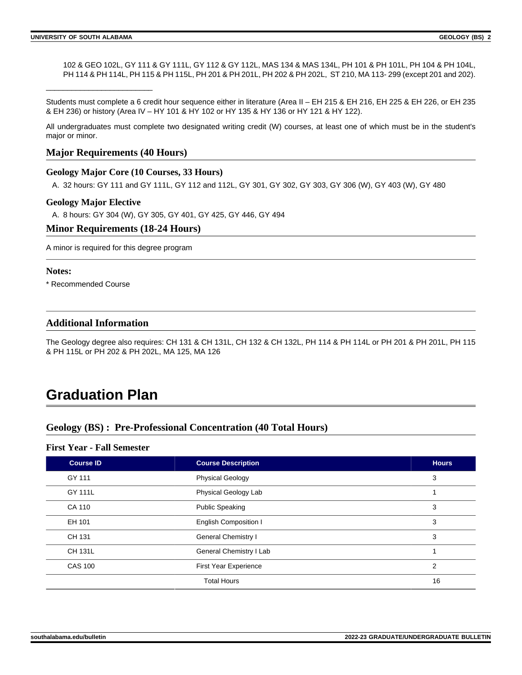\_\_\_\_\_\_\_\_\_\_\_\_\_\_\_\_\_\_\_\_\_\_\_\_\_

102 & GEO 102L, GY 111 & GY 111L, GY 112 & GY 112L, MAS 134 & MAS 134L, PH 101 & PH 101L, PH 104 & PH 104L, PH 114 & PH 114L, PH 115 & PH 115L, PH 201 & PH 201L, PH 202 & PH 202L, ST 210, MA 113-299 (except 201 and 202).

Students must complete a 6 credit hour sequence either in literature (Area II – EH 215 & EH 216, EH 225 & EH 226, or EH 235 & EH 236) or history (Area IV – HY 101 & HY 102 or HY 135 & HY 136 or HY 121 & HY 122).

All undergraduates must complete two designated writing credit (W) courses, at least one of which must be in the student's major or minor.

## **Major Requirements (40 Hours)**

#### **Geology Major Core (10 Courses, 33 Hours)**

A. 32 hours: GY 111 and GY 111L, GY 112 and 112L, GY 301, GY 302, GY 303, GY 306 (W), GY 403 (W), GY 480

#### **Geology Major Elective**

A. 8 hours: GY 304 (W), GY 305, GY 401, GY 425, GY 446, GY 494

#### **Minor Requirements (18-24 Hours)**

A minor is required for this degree program

#### **Notes:**

\* Recommended Course

## **Additional Information**

The Geology degree also requires: CH 131 & CH 131L, CH 132 & CH 132L, PH 114 & PH 114L or PH 201 & PH 201L, PH 115 & PH 115L or PH 202 & PH 202L, MA 125, MA 126

# **Graduation Plan**

## **Geology (BS) : Pre-Professional Concentration (40 Total Hours)**

#### **First Year - Fall Semester**

| <b>Course ID</b> | <b>Course Description</b>    | <b>Hours</b> |
|------------------|------------------------------|--------------|
| GY 111           | <b>Physical Geology</b>      | 3            |
| GY 111L          | Physical Geology Lab         |              |
| CA 110           | <b>Public Speaking</b>       | 3            |
| EH 101           | <b>English Composition I</b> | 3            |
| CH 131           | <b>General Chemistry I</b>   | 3            |
| <b>CH 131L</b>   | General Chemistry I Lab      | 1            |
| <b>CAS 100</b>   | <b>First Year Experience</b> | 2            |
|                  | <b>Total Hours</b>           | 16           |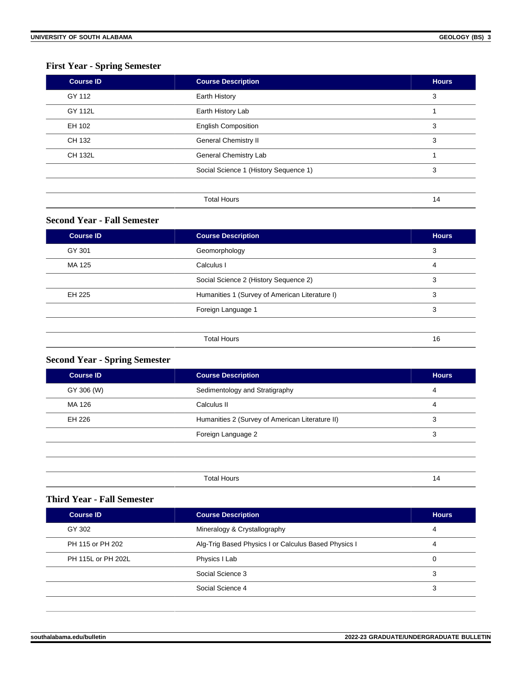# **First Year - Spring Semester**

| <b>Course ID</b> | <b>Course Description</b>             | <b>Hours</b> |
|------------------|---------------------------------------|--------------|
| GY 112           | Earth History                         | 3            |
| GY 112L          | Earth History Lab                     |              |
| EH 102           | <b>English Composition</b>            | 3            |
| CH 132           | <b>General Chemistry II</b>           | 3            |
| CH 132L          | General Chemistry Lab                 |              |
|                  | Social Science 1 (History Sequence 1) | 3            |
|                  |                                       |              |
|                  | <b>Total Hours</b>                    | 14           |

## **Second Year - Fall Semester**

| Course ID | <b>Course Description</b>                      | <b>Hours</b> |
|-----------|------------------------------------------------|--------------|
| GY 301    | Geomorphology                                  | 3            |
| MA 125    | Calculus I                                     | 4            |
|           | Social Science 2 (History Sequence 2)          | 3            |
| EH 225    | Humanities 1 (Survey of American Literature I) | 3            |
|           | Foreign Language 1                             | 3            |
|           |                                                |              |
|           | <b>Total Hours</b>                             | 16           |

# **Second Year - Spring Semester**

| <b>Course ID</b> | <b>Course Description</b>                       | <b>Hours</b> |
|------------------|-------------------------------------------------|--------------|
| GY 306 (W)       | Sedimentology and Stratigraphy                  | 4            |
| MA 126           | Calculus II                                     | 4            |
| EH 226           | Humanities 2 (Survey of American Literature II) | 3            |
|                  | Foreign Language 2                              | 3            |
|                  |                                                 |              |
|                  |                                                 |              |
|                  | <b>Total Hours</b>                              | 14           |

## **Third Year - Fall Semester**

| <b>Course ID</b>   | <b>Course Description</b>                            | <b>Hours</b> |
|--------------------|------------------------------------------------------|--------------|
| GY 302             | Mineralogy & Crystallography                         | 4            |
| PH 115 or PH 202   | Alg-Trig Based Physics I or Calculus Based Physics I | 4            |
| PH 115L or PH 202L | Physics I Lab                                        | 0            |
|                    | Social Science 3                                     | 3            |
|                    | Social Science 4                                     | 3            |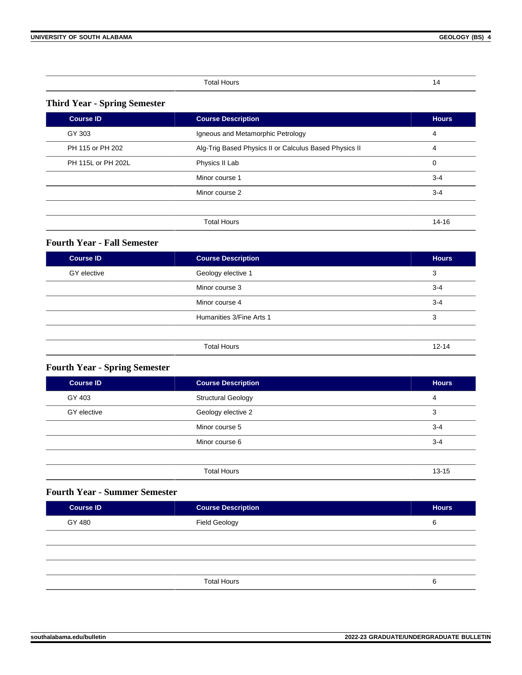| ł |  |
|---|--|
|   |  |

## **Third Year - Spring Semester**

| Course ID          | <b>Course Description</b>                              | <b>Hours</b> |
|--------------------|--------------------------------------------------------|--------------|
| GY 303             | Igneous and Metamorphic Petrology                      | 4            |
| PH 115 or PH 202   | Alg-Trig Based Physics II or Calculus Based Physics II | 4            |
| PH 115L or PH 202L | Physics II Lab                                         | 0            |
|                    | Minor course 1                                         | $3 - 4$      |
|                    | Minor course 2                                         | $3 - 4$      |
|                    |                                                        |              |
|                    | <b>Total Hours</b>                                     | 14-16        |

# **Fourth Year - Fall Semester**

| <b>Course ID</b> | <b>Course Description</b> | <b>Hours</b> |
|------------------|---------------------------|--------------|
| GY elective      | Geology elective 1        | 3            |
|                  | Minor course 3            | $3 - 4$      |
|                  | Minor course 4            | $3 - 4$      |
|                  | Humanities 3/Fine Arts 1  | 3            |
|                  |                           |              |
|                  | <b>Total Hours</b>        | $12 - 14$    |

# **Fourth Year - Spring Semester**

| <b>Course ID</b> | <b>Course Description</b> | <b>Hours</b> |
|------------------|---------------------------|--------------|
| GY 403           | <b>Structural Geology</b> | 4            |
| GY elective      | Geology elective 2        | 3            |
|                  | Minor course 5            | $3 - 4$      |
|                  | Minor course 6            | $3 - 4$      |
|                  |                           |              |
|                  | <b>Total Hours</b>        | $13 - 15$    |

## **Fourth Year - Summer Semester**

| <b>Course ID</b> | <b>Course Description</b> | <b>Hours</b> |
|------------------|---------------------------|--------------|
| GY 480           | <b>Field Geology</b>      | 6            |
|                  |                           |              |
|                  |                           |              |
|                  |                           |              |
|                  | <b>Total Hours</b>        | 6            |